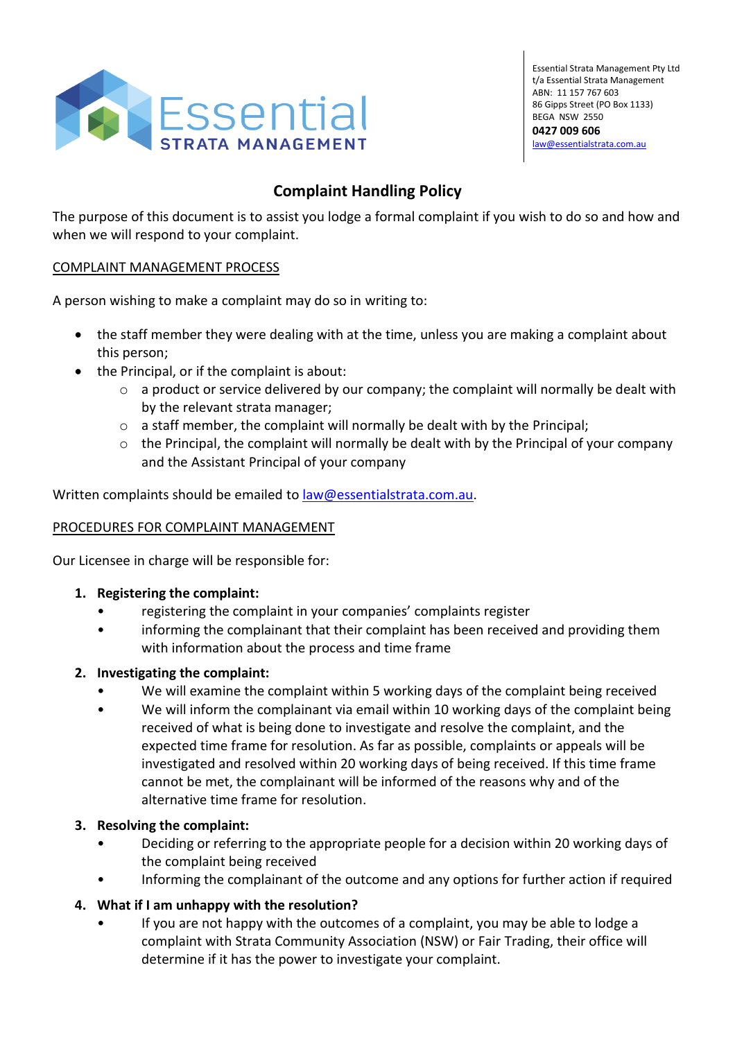

Essential Strata Management Pty Ltd t/a Essential Strata Management ABN: 11 157 767 603 86 Gipps Street (PO Box 1133) BEGA NSW 2550 **0427 009 606**  [law@essentialstrata.com.au](mailto:law@essentialstrata.com.au)

# **Complaint Handling Policy**

The purpose of this document is to assist you lodge a formal complaint if you wish to do so and how and when we will respond to your complaint.

### COMPLAINT MANAGEMENT PROCESS

A person wishing to make a complaint may do so in writing to:

- the staff member they were dealing with at the time, unless you are making a complaint about this person;
- the Principal, or if the complaint is about:
	- o a product or service delivered by our company; the complaint will normally be dealt with by the relevant strata manager;
	- $\circ$  a staff member, the complaint will normally be dealt with by the Principal;
	- $\circ$  the Principal, the complaint will normally be dealt with by the Principal of your company and the Assistant Principal of your company

Written complaints should be emailed t[o law@essentialstrata.com.au.](mailto:law@essentialstrata.com.au)

### PROCEDURES FOR COMPLAINT MANAGEMENT

Our Licensee in charge will be responsible for:

- **1. Registering the complaint:**
	- registering the complaint in your companies' complaints register
	- informing the complainant that their complaint has been received and providing them with information about the process and time frame

### **2. Investigating the complaint:**

- We will examine the complaint within 5 working days of the complaint being received
- We will inform the complainant via email within 10 working days of the complaint being received of what is being done to investigate and resolve the complaint, and the expected time frame for resolution. As far as possible, complaints or appeals will be investigated and resolved within 20 working days of being received. If this time frame cannot be met, the complainant will be informed of the reasons why and of the alternative time frame for resolution.

#### **3. Resolving the complaint:**

- Deciding or referring to the appropriate people for a decision within 20 working days of the complaint being received
- Informing the complainant of the outcome and any options for further action if required

### **4. What if I am unhappy with the resolution?**

• If you are not happy with the outcomes of a complaint, you may be able to lodge a complaint with Strata Community Association (NSW) or Fair Trading, their office will determine if it has the power to investigate your complaint.